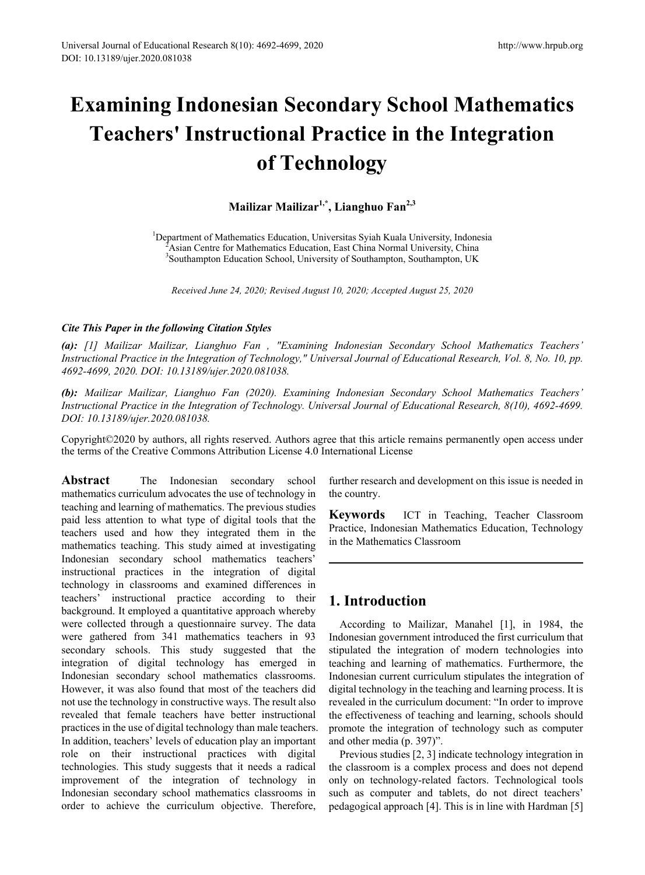# **Examining Indonesian Secondary School Mathematics Teachers' Instructional Practice in the Integration of Technology**

**Mailizar Mailizar1,\*, Lianghuo Fan2,3**

<sup>1</sup>Department of Mathematics Education, Universitas Syiah Kuala University, Indonesia<br><sup>2</sup>Asian Centre for Mathematics Education, East China Normal University, China Asian Centre for Mathematics Education, East China Normal University, China <sup>3</sup>Southampton Education School, University of Southampton, Southampton, UK

*Received June 24, 2020; Revised August 10, 2020; Accepted August 25, 2020*

## *Cite This Paper in the following Citation Styles*

*(a): [1] Mailizar Mailizar, Lianghuo Fan , "Examining Indonesian Secondary School Mathematics Teachers' Instructional Practice in the Integration of Technology," Universal Journal of Educational Research, Vol. 8, No. 10, pp. 4692-4699, 2020. DOI: 10.13189/ujer.2020.081038.* 

*(b): Mailizar Mailizar, Lianghuo Fan (2020). Examining Indonesian Secondary School Mathematics Teachers' Instructional Practice in the Integration of Technology. Universal Journal of Educational Research, 8(10), 4692-4699. DOI: 10.13189/ujer.2020.081038.* 

Copyright©2020 by authors, all rights reserved. Authors agree that this article remains permanently open access under the terms of the Creative Commons Attribution License 4.0 International License

Abstract The Indonesian secondary school mathematics curriculum advocates the use of technology in teaching and learning of mathematics. The previous studies paid less attention to what type of digital tools that the teachers used and how they integrated them in the mathematics teaching. This study aimed at investigating Indonesian secondary school mathematics teachers' instructional practices in the integration of digital technology in classrooms and examined differences in teachers' instructional practice according to their background. It employed a quantitative approach whereby were collected through a questionnaire survey. The data were gathered from 341 mathematics teachers in 93 secondary schools. This study suggested that the integration of digital technology has emerged in Indonesian secondary school mathematics classrooms. However, it was also found that most of the teachers did not use the technology in constructive ways. The result also revealed that female teachers have better instructional practices in the use of digital technology than male teachers. In addition, teachers' levels of education play an important role on their instructional practices with digital technologies. This study suggests that it needs a radical improvement of the integration of technology in Indonesian secondary school mathematics classrooms in order to achieve the curriculum objective. Therefore,

further research and development on this issue is needed in the country.

**Keywords** ICT in Teaching, Teacher Classroom Practice, Indonesian Mathematics Education, Technology in the Mathematics Classroom

# **1. Introduction**

According to Mailizar, Manahel [1], in 1984, the Indonesian government introduced the first curriculum that stipulated the integration of modern technologies into teaching and learning of mathematics. Furthermore, the Indonesian current curriculum stipulates the integration of digital technology in the teaching and learning process. It is revealed in the curriculum document: "In order to improve the effectiveness of teaching and learning, schools should promote the integration of technology such as computer and other media (p. 397)".

Previous studies [2, 3] indicate technology integration in the classroom is a complex process and does not depend only on technology-related factors. Technological tools such as computer and tablets, do not direct teachers' pedagogical approach [4]. This is in line with Hardman [5]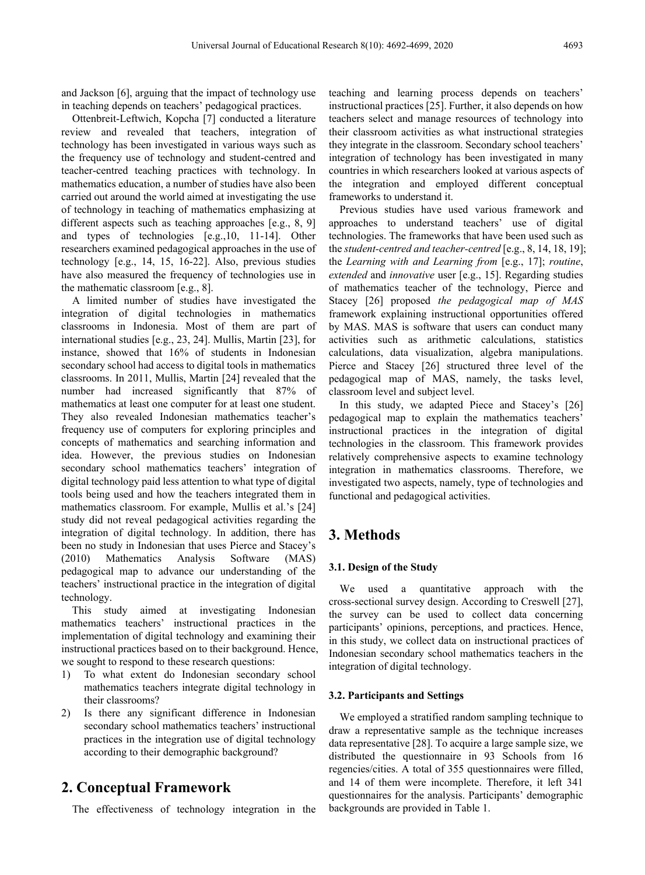and Jackson [6], arguing that the impact of technology use in teaching depends on teachers' pedagogical practices.

Ottenbreit-Leftwich, Kopcha [7] conducted a literature review and revealed that teachers, integration of technology has been investigated in various ways such as the frequency use of technology and student-centred and teacher-centred teaching practices with technology. In mathematics education, a number of studies have also been carried out around the world aimed at investigating the use of technology in teaching of mathematics emphasizing at different aspects such as teaching approaches [e.g., 8, 9] and types of technologies [e.g.,10, 11-14]. Other researchers examined pedagogical approaches in the use of technology [e.g., 14, 15, 16-22]. Also, previous studies have also measured the frequency of technologies use in the mathematic classroom [e.g., 8].

A limited number of studies have investigated the integration of digital technologies in mathematics classrooms in Indonesia. Most of them are part of international studies [e.g., 23, 24]. Mullis, Martin [23], for instance, showed that 16% of students in Indonesian secondary school had access to digital tools in mathematics classrooms. In 2011, Mullis, Martin [24] revealed that the number had increased significantly that 87% of mathematics at least one computer for at least one student. They also revealed Indonesian mathematics teacher's frequency use of computers for exploring principles and concepts of mathematics and searching information and idea. However, the previous studies on Indonesian secondary school mathematics teachers' integration of digital technology paid less attention to what type of digital tools being used and how the teachers integrated them in mathematics classroom. For example, Mullis et al.'s [24] study did not reveal pedagogical activities regarding the integration of digital technology. In addition, there has been no study in Indonesian that uses Pierce and Stacey's (2010) Mathematics Analysis Software (MAS) pedagogical map to advance our understanding of the teachers' instructional practice in the integration of digital technology.

This study aimed at investigating Indonesian mathematics teachers' instructional practices in the implementation of digital technology and examining their instructional practices based on to their background. Hence, we sought to respond to these research questions:

- 1) To what extent do Indonesian secondary school mathematics teachers integrate digital technology in their classrooms?
- 2) Is there any significant difference in Indonesian secondary school mathematics teachers' instructional practices in the integration use of digital technology according to their demographic background?

## **2. Conceptual Framework**

The effectiveness of technology integration in the

teaching and learning process depends on teachers' instructional practices [25]. Further, it also depends on how teachers select and manage resources of technology into their classroom activities as what instructional strategies they integrate in the classroom. Secondary school teachers' integration of technology has been investigated in many countries in which researchers looked at various aspects of the integration and employed different conceptual frameworks to understand it.

Previous studies have used various framework and approaches to understand teachers' use of digital technologies. The frameworks that have been used such as the *student-centred and teacher-centred* [e.g., 8, 14, 18, 19]; the *Learning with and Learning from* [e.g., 17]; *routine*, *extended* and *innovative* user [e.g., 15]. Regarding studies of mathematics teacher of the technology, Pierce and Stacey [26] proposed *the pedagogical map of MAS* framework explaining instructional opportunities offered by MAS. MAS is software that users can conduct many activities such as arithmetic calculations, statistics calculations, data visualization, algebra manipulations. Pierce and Stacey [26] structured three level of the pedagogical map of MAS, namely, the tasks level, classroom level and subject level.

In this study, we adapted Piece and Stacey's [26] pedagogical map to explain the mathematics teachers' instructional practices in the integration of digital technologies in the classroom. This framework provides relatively comprehensive aspects to examine technology integration in mathematics classrooms. Therefore, we investigated two aspects, namely, type of technologies and functional and pedagogical activities.

# **3. Methods**

#### **3.1. Design of the Study**

We used a quantitative approach with the cross-sectional survey design. According to Creswell [27], the survey can be used to collect data concerning participants' opinions, perceptions, and practices. Hence, in this study, we collect data on instructional practices of Indonesian secondary school mathematics teachers in the integration of digital technology.

#### **3.2. Participants and Settings**

We employed a stratified random sampling technique to draw a representative sample as the technique increases data representative [28]. To acquire a large sample size, we distributed the questionnaire in 93 Schools from 16 regencies/cities. A total of 355 questionnaires were filled, and 14 of them were incomplete. Therefore, it left 341 questionnaires for the analysis. Participants' demographic backgrounds are provided in Table 1.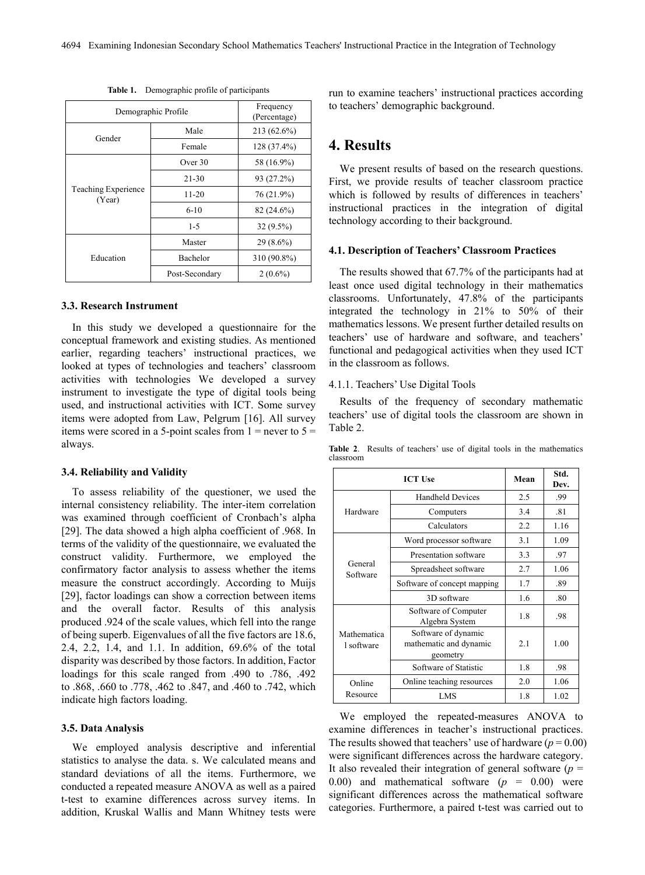| Demographic Profile           |                | Frequency<br>(Percentage) |
|-------------------------------|----------------|---------------------------|
| Gender                        | Male           | 213 (62.6%)               |
|                               | Female         | 128 (37.4%)               |
| Teaching Experience<br>(Year) | Over $30$      | 58 (16.9%)                |
|                               | $21 - 30$      | 93 (27.2%)                |
|                               | $11 - 20$      | 76 (21.9%)                |
|                               | $6 - 10$       | $82(24.6\%)$              |
|                               | $1 - 5$        | $32(9.5\%)$               |
|                               | Master         | $29(8.6\%)$               |
| Education                     | Bachelor       | 310 (90.8%)               |
|                               | Post-Secondary | $2(0.6\%)$                |

**Table 1.** Demographic profile of participants

#### **3.3. Research Instrument**

In this study we developed a questionnaire for the conceptual framework and existing studies. As mentioned earlier, regarding teachers' instructional practices, we looked at types of technologies and teachers' classroom activities with technologies We developed a survey instrument to investigate the type of digital tools being used, and instructional activities with ICT. Some survey items were adopted from Law, Pelgrum [16]. All survey items were scored in a 5-point scales from  $1 =$  never to  $5 =$ always.

#### **3.4. Reliability and Validity**

To assess reliability of the questioner, we used the internal consistency reliability. The inter-item correlation was examined through coefficient of Cronbach's alpha [29]. The data showed a high alpha coefficient of .968. In terms of the validity of the questionnaire, we evaluated the construct validity. Furthermore, we employed the confirmatory factor analysis to assess whether the items measure the construct accordingly. According to Muijs [29], factor loadings can show a correction between items and the overall factor. Results of this analysis produced .924 of the scale values, which fell into the range of being superb. Eigenvalues of all the five factors are 18.6, 2.4, 2.2, 1.4, and 1.1. In addition, 69.6% of the total disparity was described by those factors. In addition, Factor loadings for this scale ranged from .490 to .786, .492 to .868, .660 to .778, .462 to .847, and .460 to .742, which indicate high factors loading.

#### **3.5. Data Analysis**

We employed analysis descriptive and inferential statistics to analyse the data. s. We calculated means and standard deviations of all the items. Furthermore, we conducted a repeated measure ANOVA as well as a paired t-test to examine differences across survey items. In addition, Kruskal Wallis and Mann Whitney tests were run to examine teachers' instructional practices according to teachers' demographic background.

## **4. Results**

We present results of based on the research questions. First, we provide results of teacher classroom practice which is followed by results of differences in teachers' instructional practices in the integration of digital technology according to their background.

#### **4.1. Description of Teachers' Classroom Practices**

The results showed that 67.7% of the participants had at least once used digital technology in their mathematics classrooms. Unfortunately, 47.8% of the participants integrated the technology in 21% to 50% of their mathematics lessons. We present further detailed results on teachers' use of hardware and software, and teachers' functional and pedagogical activities when they used ICT in the classroom as follows.

#### 4.1.1. Teachers' Use Digital Tools

Results of the frequency of secondary mathematic teachers' use of digital tools the classroom are shown in Table 2.

| <b>ICT Use</b>            |                                                           | Mean | Std.<br>Dev. |
|---------------------------|-----------------------------------------------------------|------|--------------|
|                           | <b>Handheld Devices</b>                                   | 2.5  | .99          |
| Hardware                  | Computers                                                 | 3.4  | .81          |
|                           | Calculators                                               | 2.2  | 1.16         |
|                           | Word processor software                                   | 3.1  | 1.09         |
|                           | Presentation software                                     | 3.3  | .97          |
| General<br>Software       | Spreadsheet software                                      | 2.7  | 1.06         |
|                           | Software of concept mapping                               | 1.7  | .89          |
|                           | 3D software                                               | 1.6  | .80          |
|                           | Software of Computer<br>Algebra System                    | 1.8  | .98          |
| Mathematica<br>1 software | Software of dynamic<br>mathematic and dynamic<br>geometry | 2.1  | 1.00         |
|                           | Software of Statistic                                     | 1.8  | .98          |
| Online                    | Online teaching resources                                 | 2.0  | 1.06         |
| Resource                  | LMS                                                       | 1.8  | 1.02         |

**Table 2**. Results of teachers' use of digital tools in the mathematics classroom

We employed the repeated-measures ANOVA to examine differences in teacher's instructional practices. The results showed that teachers' use of hardware ( $p = 0.00$ ) were significant differences across the hardware category. It also revealed their integration of general software  $(p =$ 0.00) and mathematical software  $(p = 0.00)$  were significant differences across the mathematical software categories. Furthermore, a paired t-test was carried out to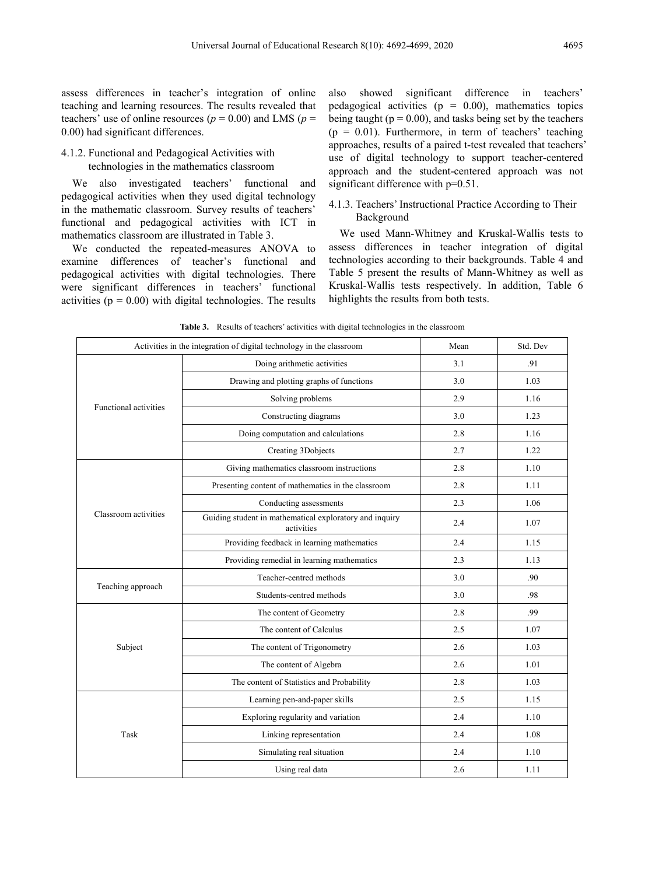assess differences in teacher's integration of online teaching and learning resources. The results revealed that teachers' use of online resources ( $p = 0.00$ ) and LMS ( $p =$ 0.00) had significant differences.

## 4.1.2. Functional and Pedagogical Activities with technologies in the mathematics classroom

We also investigated teachers' functional and pedagogical activities when they used digital technology in the mathematic classroom. Survey results of teachers' functional and pedagogical activities with ICT in mathematics classroom are illustrated in Table 3.

We conducted the repeated-measures ANOVA to examine differences of teacher's functional and pedagogical activities with digital technologies. There were significant differences in teachers' functional activities ( $p = 0.00$ ) with digital technologies. The results also showed significant difference in teachers' pedagogical activities ( $p = 0.00$ ), mathematics topics being taught ( $p = 0.00$ ), and tasks being set by the teachers  $(p = 0.01)$ . Furthermore, in term of teachers' teaching approaches, results of a paired t-test revealed that teachers' use of digital technology to support teacher-centered approach and the student-centered approach was not significant difference with  $p=0.51$ .

## 4.1.3. Teachers' Instructional Practice According to Their Background

We used Mann-Whitney and Kruskal-Wallis tests to assess differences in teacher integration of digital technologies according to their backgrounds. Table 4 and Table 5 present the results of Mann-Whitney as well as Kruskal-Wallis tests respectively. In addition, Table 6 highlights the results from both tests.

| Activities in the integration of digital technology in the classroom |                                                                       | Mean | Std. Dev |
|----------------------------------------------------------------------|-----------------------------------------------------------------------|------|----------|
| Doing arithmetic activities                                          |                                                                       | 3.1  | .91      |
|                                                                      | Drawing and plotting graphs of functions                              | 3.0  | 1.03     |
|                                                                      | Solving problems                                                      | 2.9  | 1.16     |
| <b>Functional activities</b>                                         | Constructing diagrams                                                 | 3.0  | 1.23     |
|                                                                      | Doing computation and calculations                                    | 2.8  | 1.16     |
|                                                                      | Creating 3Dobjects                                                    | 2.7  | 1.22     |
|                                                                      | Giving mathematics classroom instructions                             | 2.8  | 1.10     |
|                                                                      | Presenting content of mathematics in the classroom                    | 2.8  | 1.11     |
|                                                                      | Conducting assessments                                                | 2.3  | 1.06     |
| Classroom activities                                                 | Guiding student in mathematical exploratory and inquiry<br>activities | 2.4  | 1.07     |
|                                                                      | Providing feedback in learning mathematics                            | 2.4  | 1.15     |
|                                                                      | Providing remedial in learning mathematics                            | 2.3  | 1.13     |
|                                                                      | Teacher-centred methods                                               | 3.0  | .90      |
| Teaching approach                                                    | Students-centred methods                                              | 3.0  | .98      |
|                                                                      | The content of Geometry                                               | 2.8  | .99      |
|                                                                      | The content of Calculus                                               | 2.5  | 1.07     |
| Subject                                                              | The content of Trigonometry                                           | 2.6  | 1.03     |
|                                                                      | The content of Algebra                                                | 2.6  | 1.01     |
|                                                                      | The content of Statistics and Probability                             | 2.8  | 1.03     |
|                                                                      | Learning pen-and-paper skills                                         | 2.5  | 1.15     |
|                                                                      | Exploring regularity and variation                                    | 2.4  | 1.10     |
| Task                                                                 | Linking representation                                                | 2.4  | 1.08     |
|                                                                      | Simulating real situation                                             | 2.4  | 1.10     |
|                                                                      | Using real data                                                       | 2.6  | 1.11     |

**Table 3.** Results of teachers' activities with digital technologies in the classroom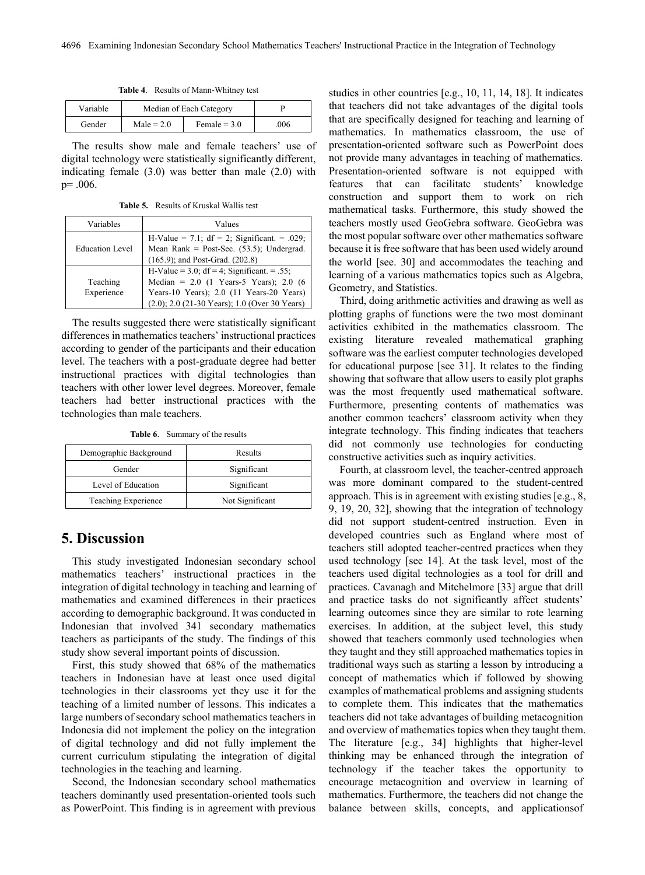|  |  | Table 4. Results of Mann-Whitney test |  |  |
|--|--|---------------------------------------|--|--|
|--|--|---------------------------------------|--|--|

| Variable | Median of Each Category |                |     |
|----------|-------------------------|----------------|-----|
| Gender   | $Male = 2.0$            | Female $= 3.0$ | 006 |

The results show male and female teachers' use of digital technology were statistically significantly different, indicating female (3.0) was better than male (2.0) with p= .006.

**Table 5.** Results of Kruskal Wallis test

| Variables              | Values                                                                                                                                                                                     |
|------------------------|--------------------------------------------------------------------------------------------------------------------------------------------------------------------------------------------|
| <b>Education Level</b> | H-Value = 7.1; $df = 2$ ; Significant. = .029;<br>Mean Rank = Post-Sec. $(53.5)$ ; Undergrad.<br>(165.9); and Post-Grad. (202.8)                                                           |
| Teaching<br>Experience | H-Value = 3.0; $df = 4$ ; Significant. = .55;<br>Median = $2.0$ (1 Years-5 Years); $2.0$ (6<br>Years-10 Years); $2.0$ (11 Years-20 Years)<br>(2.0); 2.0 (21-30 Years); 1.0 (Over 30 Years) |

The results suggested there were statistically significant differences in mathematics teachers' instructional practices according to gender of the participants and their education level. The teachers with a post-graduate degree had better instructional practices with digital technologies than teachers with other lower level degrees. Moreover, female teachers had better instructional practices with the technologies than male teachers.

**Table 6**. Summary of the results

| Demographic Background | Results         |
|------------------------|-----------------|
| Gender                 | Significant     |
| Level of Education     | Significant     |
| Teaching Experience    | Not Significant |

# **5. Discussion**

This study investigated Indonesian secondary school mathematics teachers' instructional practices in the integration of digital technology in teaching and learning of mathematics and examined differences in their practices according to demographic background. It was conducted in Indonesian that involved 341 secondary mathematics teachers as participants of the study. The findings of this study show several important points of discussion.

First, this study showed that 68% of the mathematics teachers in Indonesian have at least once used digital technologies in their classrooms yet they use it for the teaching of a limited number of lessons. This indicates a large numbers of secondary school mathematics teachers in Indonesia did not implement the policy on the integration of digital technology and did not fully implement the current curriculum stipulating the integration of digital technologies in the teaching and learning.

Second, the Indonesian secondary school mathematics teachers dominantly used presentation-oriented tools such as PowerPoint. This finding is in agreement with previous studies in other countries [e.g., 10, 11, 14, 18]. It indicates that teachers did not take advantages of the digital tools that are specifically designed for teaching and learning of mathematics. In mathematics classroom, the use of presentation-oriented software such as PowerPoint does not provide many advantages in teaching of mathematics. Presentation-oriented software is not equipped with features that can facilitate students' knowledge construction and support them to work on rich mathematical tasks. Furthermore, this study showed the teachers mostly used GeoGebra software. GeoGebra was the most popular software over other mathematics software because it is free software that has been used widely around the world [see. 30] and accommodates the teaching and learning of a various mathematics topics such as Algebra, Geometry, and Statistics.

Third, doing arithmetic activities and drawing as well as plotting graphs of functions were the two most dominant activities exhibited in the mathematics classroom. The existing literature revealed mathematical graphing software was the earliest computer technologies developed for educational purpose [see 31]. It relates to the finding showing that software that allow users to easily plot graphs was the most frequently used mathematical software. Furthermore, presenting contents of mathematics was another common teachers' classroom activity when they integrate technology. This finding indicates that teachers did not commonly use technologies for conducting constructive activities such as inquiry activities.

Fourth, at classroom level, the teacher-centred approach was more dominant compared to the student-centred approach. This is in agreement with existing studies [e.g., 8, 9, 19, 20, 32], showing that the integration of technology did not support student-centred instruction. Even in developed countries such as England where most of teachers still adopted teacher-centred practices when they used technology [see 14]. At the task level, most of the teachers used digital technologies as a tool for drill and practices. Cavanagh and Mitchelmore [33] argue that drill and practice tasks do not significantly affect students' learning outcomes since they are similar to rote learning exercises. In addition, at the subject level, this study showed that teachers commonly used technologies when they taught and they still approached mathematics topics in traditional ways such as starting a lesson by introducing a concept of mathematics which if followed by showing examples of mathematical problems and assigning students to complete them. This indicates that the mathematics teachers did not take advantages of building metacognition and overview of mathematics topics when they taught them. The literature [e.g., 34] highlights that higher-level thinking may be enhanced through the integration of technology if the teacher takes the opportunity to encourage metacognition and overview in learning of mathematics. Furthermore, the teachers did not change the balance between skills, concepts, and applicationsof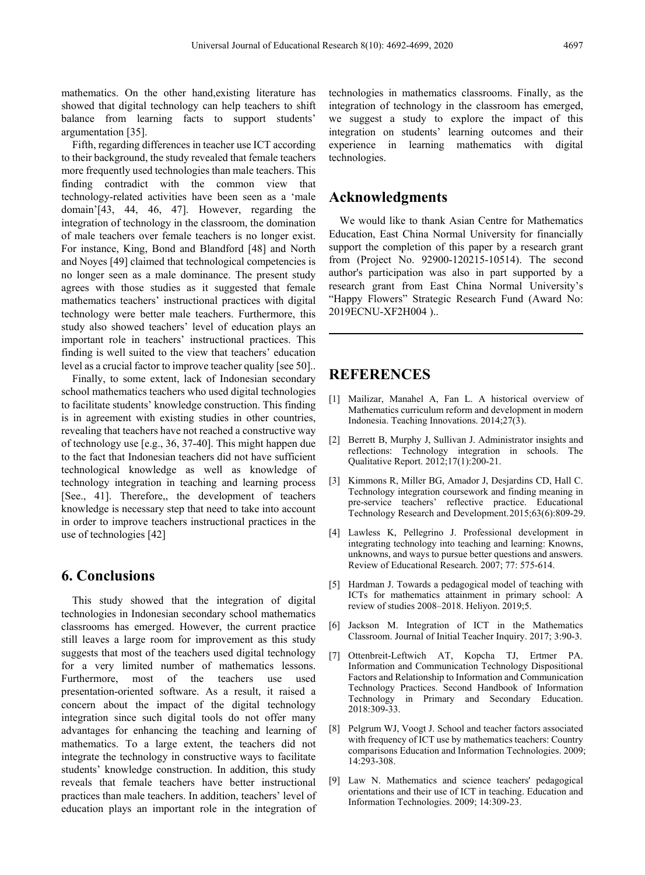mathematics. On the other hand,existing literature has showed that digital technology can help teachers to shift balance from learning facts to support students' argumentation [35].

Fifth, regarding differences in teacher use ICT according to their background, the study revealed that female teachers more frequently used technologies than male teachers. This finding contradict with the common view that technology-related activities have been seen as a 'male domain'[43, 44, 46, 47]. However, regarding the integration of technology in the classroom, the domination of male teachers over female teachers is no longer exist. For instance, King, Bond and Blandford [48] and North and Noyes [49] claimed that technological competencies is no longer seen as a male dominance. The present study agrees with those studies as it suggested that female mathematics teachers' instructional practices with digital technology were better male teachers. Furthermore, this study also showed teachers' level of education plays an important role in teachers' instructional practices. This finding is well suited to the view that teachers' education level as a crucial factor to improve teacher quality [see 50]..

Finally, to some extent, lack of Indonesian secondary school mathematics teachers who used digital technologies to facilitate students' knowledge construction. This finding is in agreement with existing studies in other countries, revealing that teachers have not reached a constructive way of technology use [e.g., 36, 37-40]. This might happen due to the fact that Indonesian teachers did not have sufficient technological knowledge as well as knowledge of technology integration in teaching and learning process [See., 41]. Therefore,, the development of teachers knowledge is necessary step that need to take into account in order to improve teachers instructional practices in the use of technologies [42]

## **6. Conclusions**

This study showed that the integration of digital technologies in Indonesian secondary school mathematics classrooms has emerged. However, the current practice still leaves a large room for improvement as this study suggests that most of the teachers used digital technology for a very limited number of mathematics lessons. Furthermore, most of the teachers use used presentation-oriented software. As a result, it raised a concern about the impact of the digital technology integration since such digital tools do not offer many advantages for enhancing the teaching and learning of mathematics. To a large extent, the teachers did not integrate the technology in constructive ways to facilitate students' knowledge construction. In addition, this study reveals that female teachers have better instructional practices than male teachers. In addition, teachers' level of education plays an important role in the integration of technologies in mathematics classrooms. Finally, as the integration of technology in the classroom has emerged, we suggest a study to explore the impact of this integration on students' learning outcomes and their experience in learning mathematics with digital technologies.

## **Acknowledgments**

We would like to thank Asian Centre for Mathematics Education, East China Normal University for financially support the completion of this paper by a research grant from (Project No. 92900-120215-10514). The second author's participation was also in part supported by a research grant from East China Normal University's "Happy Flowers" Strategic Research Fund (Award No: 2019ECNU-XF2H004 )..

# **REFERENCES**

- [1] Mailizar, Manahel A, Fan L. A historical overview of Mathematics curriculum reform and development in modern Indonesia. Teaching Innovations.  $2014:27(\overline{3})$ .
- [2] Berrett B, Murphy J, Sullivan J. Administrator insights and reflections: Technology integration in schools. The Qualitative Report. 2012;17(1):200-21.
- [3] Kimmons R, Miller BG, Amador J, Desjardins CD, Hall C. Technology integration coursework and finding meaning in pre-service teachers' reflective practice. Educational Technology Research and Development.2015;63(6):809-29.
- [4] Lawless K, Pellegrino J. Professional development in integrating technology into teaching and learning: Knowns, unknowns, and ways to pursue better questions and answers. Review of Educational Research. 2007; 77: 575-614.
- [5] Hardman J. Towards a pedagogical model of teaching with ICTs for mathematics attainment in primary school: A review of studies 2008–2018. Heliyon. 2019;5.
- [6] Jackson M. Integration of ICT in the Mathematics Classroom. Journal of Initial Teacher Inquiry. 2017; 3:90-3.
- [7] Ottenbreit-Leftwich AT, Kopcha TJ, Ertmer PA. Information and Communication Technology Dispositional Factors and Relationship to Information and Communication Technology Practices. Second Handbook of Information Technology in Primary and Secondary Education. 2018:309-33.
- [8] Pelgrum WJ, Voogt J. School and teacher factors associated with frequency of ICT use by mathematics teachers: Country comparisons Education and Information Technologies. 2009; 14:293-308.
- [9] Law N. Mathematics and science teachers' pedagogical orientations and their use of ICT in teaching. Education and Information Technologies. 2009; 14:309-23.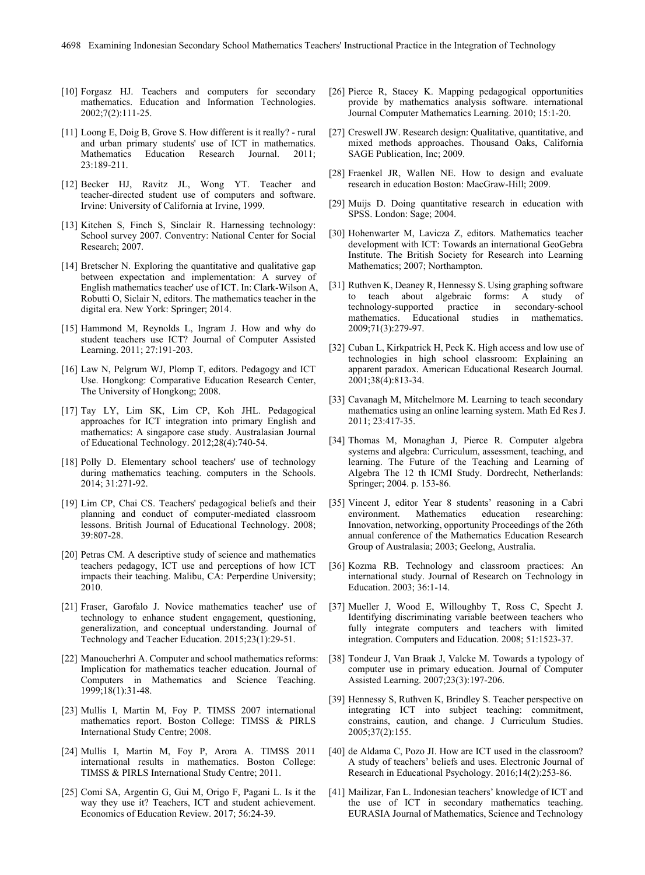- [10] Forgasz HJ. Teachers and computers for secondary mathematics. Education and Information Technologies. 2002;7(2):111-25.
- [11] Loong E, Doig B, Grove S. How different is it really? rural and urban primary students' use of ICT in mathematics.<br>Mathematics Education Research Journal. 2011; Education Research Journal. 23:189-211.
- [12] Becker HJ, Ravitz JL, Wong YT. Teacher and teacher-directed student use of computers and software. Irvine: University of California at Irvine, 1999.
- [13] Kitchen S, Finch S, Sinclair R. Harnessing technology: School survey 2007. Conventry: National Center for Social Research; 2007.
- [14] Bretscher N. Exploring the quantitative and qualitative gap between expectation and implementation: A survey of English mathematics teacher' use of ICT. In: Clark-Wilson A, Robutti O, Siclair N, editors. The mathematics teacher in the digital era. New York: Springer; 2014.
- [15] Hammond M, Reynolds L, Ingram J. How and why do student teachers use ICT? Journal of Computer Assisted Learning. 2011; 27:191-203.
- [16] Law N, Pelgrum WJ, Plomp T, editors. Pedagogy and ICT Use. Hongkong: Comparative Education Research Center, The University of Hongkong; 2008.
- [17] Tay LY, Lim SK, Lim CP, Koh JHL. Pedagogical approaches for ICT integration into primary English and mathematics: A singapore case study. Australasian Journal of Educational Technology. 2012;28(4):740-54.
- [18] Polly D. Elementary school teachers' use of technology during mathematics teaching. computers in the Schools. 2014; 31:271-92.
- [19] Lim CP, Chai CS. Teachers' pedagogical beliefs and their planning and conduct of computer-mediated classroom lessons. British Journal of Educational Technology. 2008; 39:807-28.
- [20] Petras CM. A descriptive study of science and mathematics teachers pedagogy, ICT use and perceptions of how ICT impacts their teaching. Malibu, CA: Perperdine University; 2010.
- [21] Fraser, Garofalo J. Novice mathematics teacher' use of technology to enhance student engagement, questioning, generalization, and conceptual understanding. Journal of Technology and Teacher Education. 2015;23(1):29-51.
- [22] Manoucherhri A. Computer and school mathematics reforms: Implication for mathematics teacher education. Journal of Computers in Mathematics and Science Teaching. 1999;18(1):31-48.
- [23] Mullis I, Martin M, Foy P. TIMSS 2007 international mathematics report. Boston College: TIMSS & PIRLS International Study Centre; 2008.
- [24] Mullis I, Martin M, Foy P, Arora A. TIMSS 2011 international results in mathematics. Boston College: TIMSS & PIRLS International Study Centre; 2011.
- [25] Comi SA, Argentin G, Gui M, Origo F, Pagani L. Is it the way they use it? Teachers, ICT and student achievement. Economics of Education Review. 2017; 56:24-39.
- [26] Pierce R, Stacey K. Mapping pedagogical opportunities provide by mathematics analysis software. international Journal Computer Mathematics Learning. 2010; 15:1-20.
- [27] Creswell JW. Research design: Qualitative, quantitative, and mixed methods approaches. Thousand Oaks, California SAGE Publication, Inc; 2009.
- [28] Fraenkel JR, Wallen NE. How to design and evaluate research in education Boston: MacGraw-Hill; 2009.
- [29] Muijs D. Doing quantitative research in education with SPSS. London: Sage; 2004.
- [30] Hohenwarter M, Lavicza Z, editors. Mathematics teacher development with ICT: Towards an international GeoGebra Institute. The British Society for Research into Learning Mathematics; 2007; Northampton.
- [31] Ruthven K, Deaney R, Hennessy S. Using graphing software to teach about algebraic forms: A study of technology-supported practice in secondary-school technology-supported practice mathematics. Educational studies in mathematics. 2009;71(3):279-97.
- [32] Cuban L, Kirkpatrick H, Peck K, High access and low use of technologies in high school classroom: Explaining an apparent paradox. American Educational Research Journal. 2001;38(4):813-34.
- [33] Cavanagh M, Mitchelmore M. Learning to teach secondary mathematics using an online learning system. Math Ed Res J. 2011; 23:417-35.
- [34] Thomas M, Monaghan J, Pierce R. Computer algebra systems and algebra: Curriculum, assessment, teaching, and learning. The Future of the Teaching and Learning of Algebra The 12 th ICMI Study. Dordrecht, Netherlands: Springer; 2004. p. 153-86.
- [35] Vincent J, editor Year 8 students' reasoning in a Cabri<br>environment. Mathematics education researching: Mathematics education Innovation, networking, opportunity Proceedings of the 26th annual conference of the Mathematics Education Research Group of Australasia; 2003; Geelong, Australia.
- [36] Kozma RB. Technology and classroom practices: An international study. Journal of Research on Technology in Education. 2003; 36:1-14.
- [37] Mueller J, Wood E, Willoughby T, Ross C, Specht J. Identifying discriminating variable beetween teachers who fully integrate computers and teachers with limited integration. Computers and Education. 2008; 51:1523-37.
- [38] Tondeur J, Van Braak J, Valcke M. Towards a typology of computer use in primary education. Journal of Computer Assisted Learning. 2007;23(3):197-206.
- [39] Hennessy S, Ruthven K, Brindley S. Teacher perspective on integrating ICT into subject teaching: commitment, constrains, caution, and change. J Curriculum Studies. 2005;37(2):155.
- [40] de Aldama C, Pozo JI. How are ICT used in the classroom? A study of teachers' beliefs and uses. Electronic Journal of Research in Educational Psychology. 2016;14(2):253-86.
- [41] Mailizar, Fan L. Indonesian teachers' knowledge of ICT and the use of ICT in secondary mathematics teaching. EURASIA Journal of Mathematics, Science and Technology